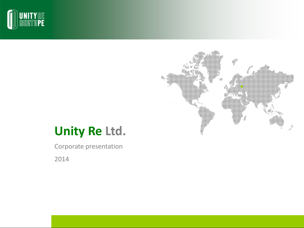



# **Unity Re Ltd.**

Corporate presentation

2014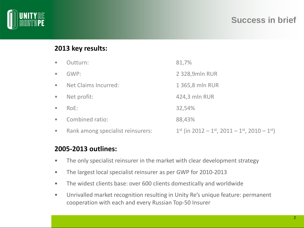

## **Success in brief**

## **2013 key results:**

| $\bullet$ | Outturn:                          | 81,7%                                                                                   |
|-----------|-----------------------------------|-----------------------------------------------------------------------------------------|
| $\bullet$ | GWP:                              | 2 328,9mln RUR                                                                          |
| $\bullet$ | Net Claims Incurred:              | 1 365,8 mln RUR                                                                         |
| $\bullet$ | Net profit:                       | 424,3 mln RUR                                                                           |
| $\bullet$ | $RoE$ :                           | 32,54%                                                                                  |
| $\bullet$ | Combined ratio:                   | 88,43%                                                                                  |
| $\bullet$ | Rank among specialist reinsurers: | $1^{st}$ (in 2012 – 1 <sup>st</sup> , 2011 – 1 <sup>st</sup> , 2010 – 1 <sup>st</sup> ) |

### **2005-2013 outlines:**

- The only specialist reinsurer in the market with clear development strategy
- The largest local specialist reinsurer as per GWP for 2010-2013
- The widest clients base: over 600 clients domestically and worldwide
- Unrivalled market recognition resulting in Unity Re's unique feature: permanent cooperation with each and every Russian Top-50 Insurer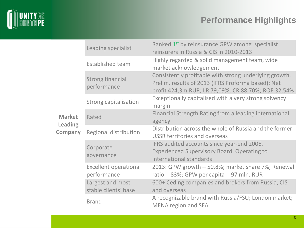

# **Performance Highlights**

|                                  | Leading specialist                          | Ranked 1 <sup>st</sup> by reinsurance GPW among specialist<br>reinsurers in Russia & CIS in 2010-2013                                                               |  |  |
|----------------------------------|---------------------------------------------|---------------------------------------------------------------------------------------------------------------------------------------------------------------------|--|--|
|                                  | <b>Established team</b>                     | Highly regarded & solid management team, wide<br>market acknowledgement                                                                                             |  |  |
|                                  | <b>Strong financial</b><br>performance      | Consistently profitable with strong underlying growth.<br>Prelim. results of 2013 (IFRS Proforma based): Net<br>profit 424,3m RUR; LR 79,09%; CR 88,70%; ROE 32,54% |  |  |
|                                  | Strong capitalisation                       | Exceptionally capitalised with a very strong solvency<br>margin                                                                                                     |  |  |
| <b>Market</b>                    | Rated                                       | Financial Strength Rating from a leading international<br>agency                                                                                                    |  |  |
| <b>Leading</b><br><b>Company</b> | Regional distribution                       | Distribution across the whole of Russia and the former<br><b>USSR territories and overseas</b>                                                                      |  |  |
|                                  | Corporate<br>governance                     | IFRS audited accounts since year-end 2006.<br><b>Experienced Supervisory Board. Operating to</b><br>international standards                                         |  |  |
|                                  | <b>Excellent operational</b><br>performance | 2013: GPW growth - 50,8%; market share 7%; Renewal<br>ratio - 83%; GPW per capita - 97 mln. RUR                                                                     |  |  |
|                                  | Largest and most<br>stable clients' base    | 600+ Ceding companies and brokers from Russia, CIS<br>and overseas                                                                                                  |  |  |
|                                  | <b>Brand</b>                                | A recognizable brand with Russia/FSU; London market;<br><b>MENA region and SEA</b>                                                                                  |  |  |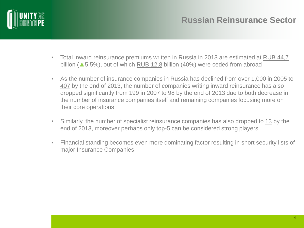

- Total inward reinsurance premiums written in Russia in 2013 are estimated at RUB 44,7 billion (▲5.5%), out of which RUB 12,8 billion (40%) were ceded from abroad
- As the number of insurance companies in Russia has declined from over 1,000 in 2005 to 407 by the end of 2013, the number of companies writing inward reinsurance has also dropped significantly from 199 in 2007 to 98 by the end of 2013 due to both decrease in the number of insurance companies itself and remaining companies focusing more on their core operations
- Similarly, the number of specialist reinsurance companies has also dropped to 13 by the end of 2013, moreover perhaps only top-5 can be considered strong players
- Financial standing becomes even more dominating factor resulting in short security lists of major Insurance Companies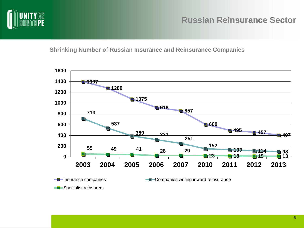

#### **Shrinking Number of Russian Insurance and Reinsurance Companies**

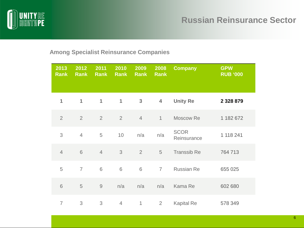

#### **Among Specialist Reinsurance Companies**

| 2013<br><b>Rank</b> | 2012<br><b>Rank</b> | 2011<br><b>Rank</b> | 2010<br><b>Rank</b> | 2009<br><b>Rank</b> | 2008<br><b>Rank</b> | <b>Company</b>             | <b>GPW</b><br><b>RUB '000</b> |
|---------------------|---------------------|---------------------|---------------------|---------------------|---------------------|----------------------------|-------------------------------|
| 1                   | 1                   | 1                   | $\mathbf{1}$        | $\mathbf{3}$        | $\overline{4}$      | <b>Unity Re</b>            | 2 3 2 8 8 7 9                 |
| $\overline{2}$      | 2                   | $\overline{2}$      | $\overline{2}$      | $\overline{4}$      | $\mathbf{1}$        | Moscow Re                  | 1 182 672                     |
| 3                   | $\overline{4}$      | 5                   | 10                  | n/a                 | n/a                 | <b>SCOR</b><br>Reinsurance | 1 118 241                     |
| $\overline{4}$      | 6                   | $\overline{4}$      | 3                   | 2                   | 5                   | <b>Transsib Re</b>         | 764 713                       |
| 5                   | $\overline{7}$      | 6                   | 6                   | 6                   | $\overline{7}$      | <b>Russian Re</b>          | 655 025                       |
| $6\,$               | 5                   | $\hbox{9}$          | n/a                 | n/a                 | n/a                 | Kama Re                    | 602 680                       |
| $\overline{7}$      | 3                   | 3                   | $\overline{4}$      | $\mathbf{1}$        | $\overline{2}$      | <b>Kapital Re</b>          | 578 349                       |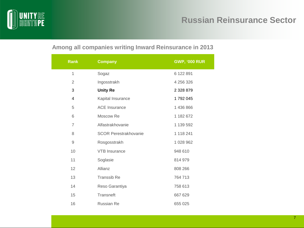

## **Russian Reinsurance Sector**

## **Among all companies writing Inward Reinsurance in 2013**

| <b>Rank</b>    | <b>Company</b>               | <b>GWP, '000 RUR</b> |
|----------------|------------------------------|----------------------|
| $\overline{1}$ | Sogaz                        | 6 122 891            |
| 2              | Ingosstrakh                  | 4 256 326            |
| 3              | <b>Unity Re</b>              | 2 3 2 8 8 7 9        |
| 4              | Kapital Insurance            | 1792045              |
| 5              | <b>ACE</b> Insurance         | 1 436 866            |
| 6              | Moscow Re                    | 1 182 672            |
| $\overline{7}$ | Alfastrakhovanie             | 1 139 592            |
| 8              | <b>SCOR Perestrakhovanie</b> | 1 118 241            |
| 9              | Rosgosstrakh                 | 1 028 962            |
| 10             | <b>VTB</b> Insurance         | 948 610              |
| 11             | Soglasie                     | 814 979              |
| 12             | Allianz                      | 808 266              |
| 13             | <b>Transsib Re</b>           | 764 713              |
| 14             | Reso Garantiya               | 758 613              |
| 15             | Transneft                    | 667 629              |
| 16             | <b>Russian Re</b>            | 655 025              |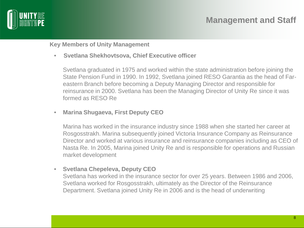

**Key Members of Unity Management**

• **Svetlana Shekhovtsova, Chief Executive officer**

Svetlana graduated in 1975 and worked within the state administration before joining the State Pension Fund in 1990. In 1992, Svetlana joined RESO Garantia as the head of Fareastern Branch before becoming a Deputy Managing Director and responsible for reinsurance in 2000. Svetlana has been the Managing Director of Unity Re since it was formed as RESO Re

• **Marina Shugaeva, First Deputy CEO**

Marina has worked in the insurance industry since 1988 when she started her career at Rosgosstrakh. Marina subsequently joined Victoria Insurance Company as Reinsurance Director and worked at various insurance and reinsurance companies including as CEO of Nasta Re. In 2005, Marina joined Unity Re and is responsible for operations and Russian market development

• **Svetlana Chepeleva, Deputy CEO**

Svetlana has worked in the insurance sector for over 25 years. Between 1986 and 2006, Svetlana worked for Rosgosstrakh, ultimately as the Director of the Reinsurance Department. Svetlana joined Unity Re in 2006 and is the head of underwriting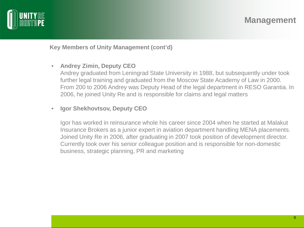

**Key Members of Unity Management (cont'd)**

#### • **Andrey Zimin, Deputy CEO**

Andrey graduated from Leningrad State University in 1988, but subsequently under took further legal training and graduated from the Moscow State Academy of Law in 2000. From 200 to 2006 Andrey was Deputy Head of the legal department in RESO Garantia. In 2006, he joined Unity Re and is responsible for claims and legal matters

#### • **Igor Shekhovtsov, Deputy CEO**

Igor has worked in reinsurance whole his career since 2004 when he started at Malakut Insurance Brokers as a junior expert in aviation department handling MENA placements. Joined Unity Re in 2006, after graduating in 2007 took position of development director. Currently took over his senior colleague position and is responsible for non-domestic business, strategic planning, PR and marketing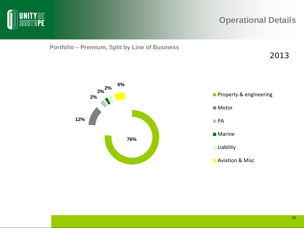

**Portfolio – Premium, Split by Line of Business**



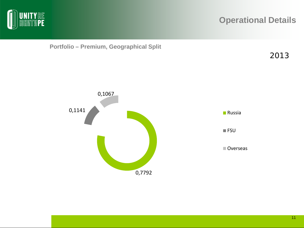





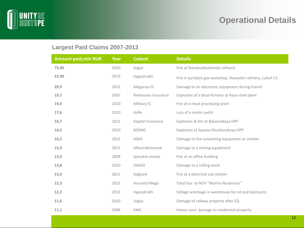

## **Largest Paid Claims 2007-2013**

| <b>Amount paid, mln RUR</b> | Year | <b>Cedant</b>       | <b>Details</b>                                                  |
|-----------------------------|------|---------------------|-----------------------------------------------------------------|
| 75,00                       | 2010 | Sogaz               | Fire at Novokuybyshevsky refinery                               |
| 52,99                       | 2013 | Ingosstrakh         | Fire in pyrolysis gas workshop, Stavrolen refinery, Lukoil J.S. |
| 29,9                        | 2012 | Megaruss D          | Damage to an electronic equipment during transit                |
| 19,7                        | 2007 | Renessans insurance | Explosion of a blust-furnace at Azov-steel plant                |
| 19,4                        | 2010 | Military IC         | Fire at a meat processing plant                                 |
| 17,6                        | 2010 | AzRe                | Loss of a motor yacht                                           |
| 16,7                        | 2012 | Kapital Insurance   | Explosion & fire at Baksanskaya HPP                             |
| 16,5                        | 2010 | <b>ROSNO</b>        | Explosion at Sayano-Shushenskaya HPP                            |
| 16,2                        | 2012 | <b>ASKA</b>         | Damage to the converting equipment at smelter                   |
| 15,9                        | 2011 | Alfastrakhovanie    | Damage to a mining equipment                                    |
| 13,9                        | 2008 | Spasskie vorota     | Fire at an office building                                      |
| 13,8                        | 2010 | <b>ZHASO</b>        | Damage to a rolling stock                                       |
| 13,0                        | 2011 | Soglasie            | Fire at a electrical sub-station                                |
| 12,3                        | 2013 | Asuransi Mega       | Total loss to M/V "Marina Nusantara"                            |
| 12,2                        | 2013 | Ingosstrakh         | Stillage wreckage in warehouse for oil and lubricants           |
| 11,6                        | 2010 | Sogaz               | Damage of railway property after EQ                             |
| 11,1                        | 2006 | KNIC                | Heavy rains' damage to residential property                     |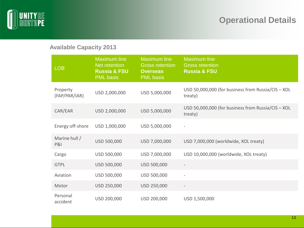![](_page_12_Picture_0.jpeg)

### **Available Capacity 2013**

| <b>LOB</b>                | <b>Maximum line</b><br>Net retention<br><b>Russia &amp; FSU</b><br><b>PML</b> basis | <b>Maximum line</b><br><b>Gross retention</b><br><b>Overseas</b><br><b>PML</b> basis | <b>Maximum line</b><br><b>Gross retention</b><br><b>Russia &amp; FSU</b> |
|---------------------------|-------------------------------------------------------------------------------------|--------------------------------------------------------------------------------------|--------------------------------------------------------------------------|
| Property<br>(FAP/PAR/IAR) | USD 2,000,000                                                                       | USD 5,000,000                                                                        | USD 50,000,000 (for business from Russia/CIS - XOL<br>treaty)            |
| CAR/EAR                   | USD 2,000,000                                                                       | USD 5,000,000                                                                        | USD 50,000,000 (for business from Russia/CIS - XOL<br>treaty)            |
| Energy off-shore          | USD 1,000,000                                                                       | USD 5,000,000                                                                        | $\qquad \qquad -$                                                        |
| Marine hull /<br>P&       | USD 500,000                                                                         | USD 7,000,000                                                                        | USD 7,000,000 (worldwide, XOL treaty)                                    |
| Cargo                     | USD 500,000                                                                         | USD 7,000,000                                                                        | USD 10,000,000 (worldwide, XOL treaty)                                   |
| <b>GTPL</b>               | USD 500,000                                                                         | USD 500,000                                                                          |                                                                          |
| Aviation                  | USD 500,000                                                                         | USD 500,000                                                                          |                                                                          |
| Motor                     | USD 250,000                                                                         | USD 250,000                                                                          | $\qquad \qquad -$                                                        |
| Personal<br>accident      | USD 200,000                                                                         | USD 200,000                                                                          | USD 1,500,000                                                            |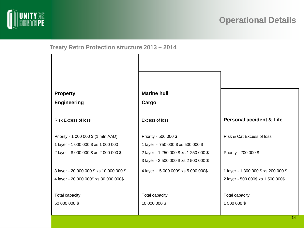![](_page_13_Picture_0.jpeg)

**Treaty Retro Protection structure 2013 – 2014**

| <b>Property</b>                          | <b>Marine hull</b>                     |                                       |
|------------------------------------------|----------------------------------------|---------------------------------------|
| <b>Engineering</b>                       | Cargo                                  |                                       |
| <b>Risk Excess of loss</b>               | Excess of loss                         | <b>Personal accident &amp; Life</b>   |
| Priority - 1 000 000 \$ (1 mln AAD)      | Priority - 500 000 \$                  | Risk & Cat Excess of loss             |
| 1 layer - 1 000 000 \$ xs 1 000 000      | 1 layer - 750 000 \$ xs 500 000 \$     |                                       |
| 2 layer - 8 000 000 \$ xs 2 000 000 \$   | 2 layer - 1 250 000 \$ xs 1 250 000 \$ | Priority - 200 000 \$                 |
|                                          | 3 layer - 2 500 000 \$ xs 2 500 000 \$ |                                       |
| 3 layer - 20 000 000 \$ xs 10 000 000 \$ | 4 layer - 5 000 000\$ xs 5 000 000\$   | 1 layer - 1 300 000 \$ xs 200 000 \$  |
| 4 layer - 20 000 000\$ xs 30 000 000\$   |                                        | 2 layer - 500 000\$ xs 1 500 000\$    |
| Total capacity<br>50 000 000 \$          | Total capacity<br>10 000 000 \$        | <b>Total capacity</b><br>1 500 000 \$ |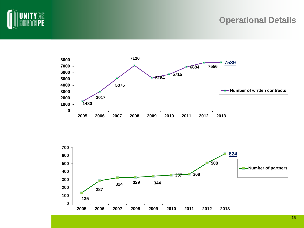![](_page_14_Picture_0.jpeg)

![](_page_14_Figure_2.jpeg)

![](_page_14_Figure_3.jpeg)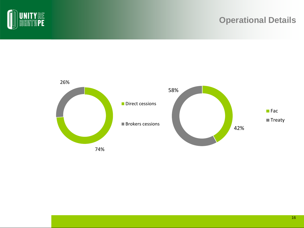![](_page_15_Picture_0.jpeg)

![](_page_15_Figure_2.jpeg)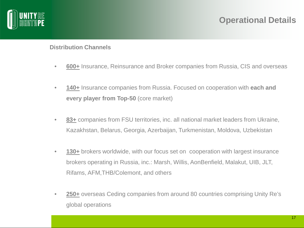![](_page_16_Picture_0.jpeg)

#### **Distribution Channels**

- **600+** Insurance, Reinsurance and Broker companies from Russia, CIS and overseas
- **140+** Insurance companies from Russia. Focused on cooperation with **each and every player from Top-50** (core market)
- **83+** companies from FSU territories, inc. all national market leaders from Ukraine, Kazakhstan, Belarus, Georgia, Azerbaijan, Turkmenistan, Moldova, Uzbekistan
- **130+** brokers worldwide, with our focus set on cooperation with largest insurance brokers operating in Russia, inc.: Marsh, Willis, AonBenfield, Malakut, UIB, JLT, Rifams, AFM,THB/Colemont, and others
- **250+** overseas Ceding companies from around 80 countries comprising Unity Re's global operations